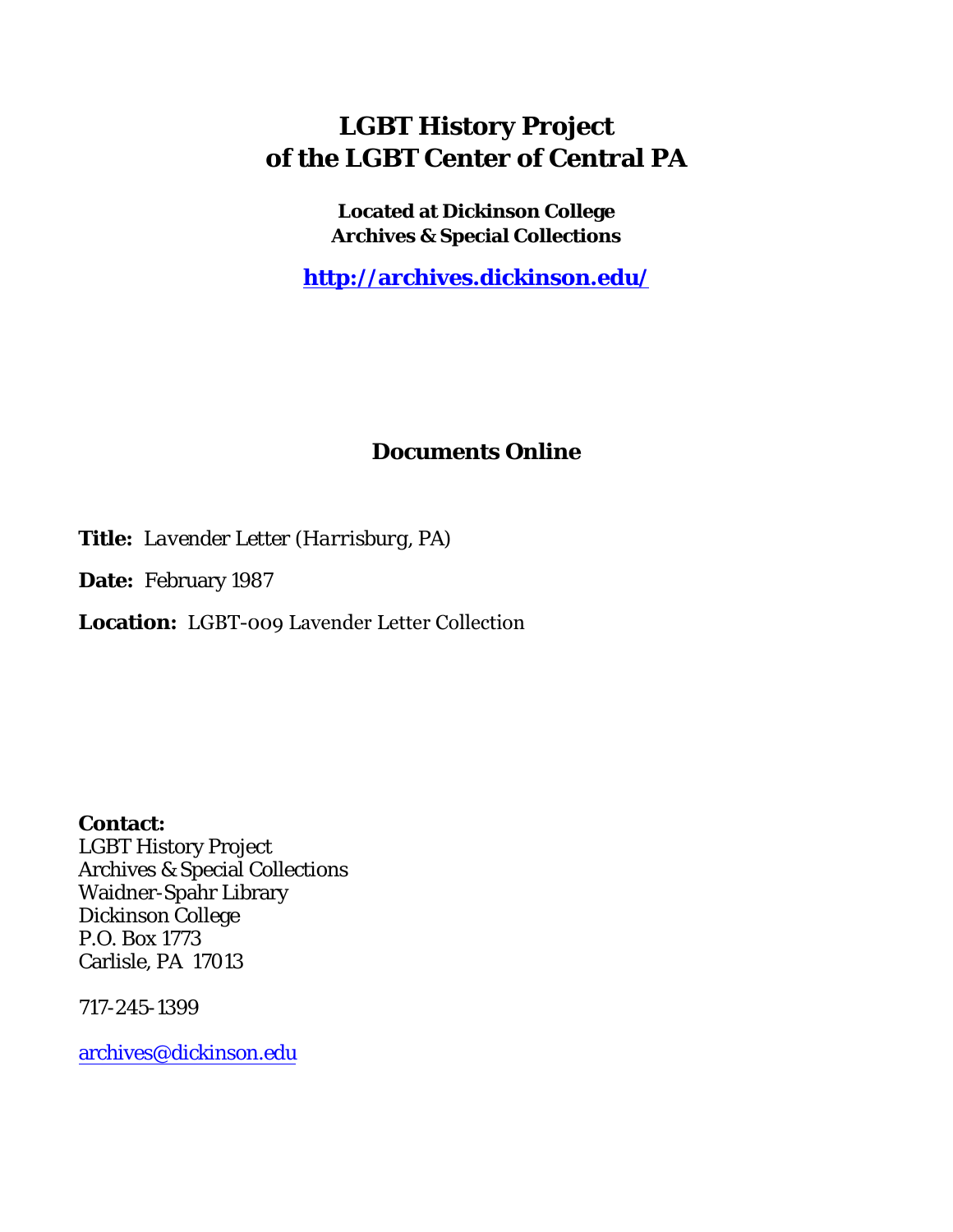## **LGBT History Project of the LGBT Center of Central PA**

**Located at Dickinson College Archives & Special Collections**

**<http://archives.dickinson.edu/>**

## **Documents Online**

**Title:** *Lavender Letter (Harrisburg, PA)*

**Date:** February 1987

**Location:** LGBT-009 Lavender Letter Collection

**Contact:**  LGBT History Project Archives & Special Collections Waidner-Spahr Library Dickinson College P.O. Box 1773 Carlisle, PA 17013

717-245-1399

[archives@dickinson.edu](mailto:archives@dickinson.edu)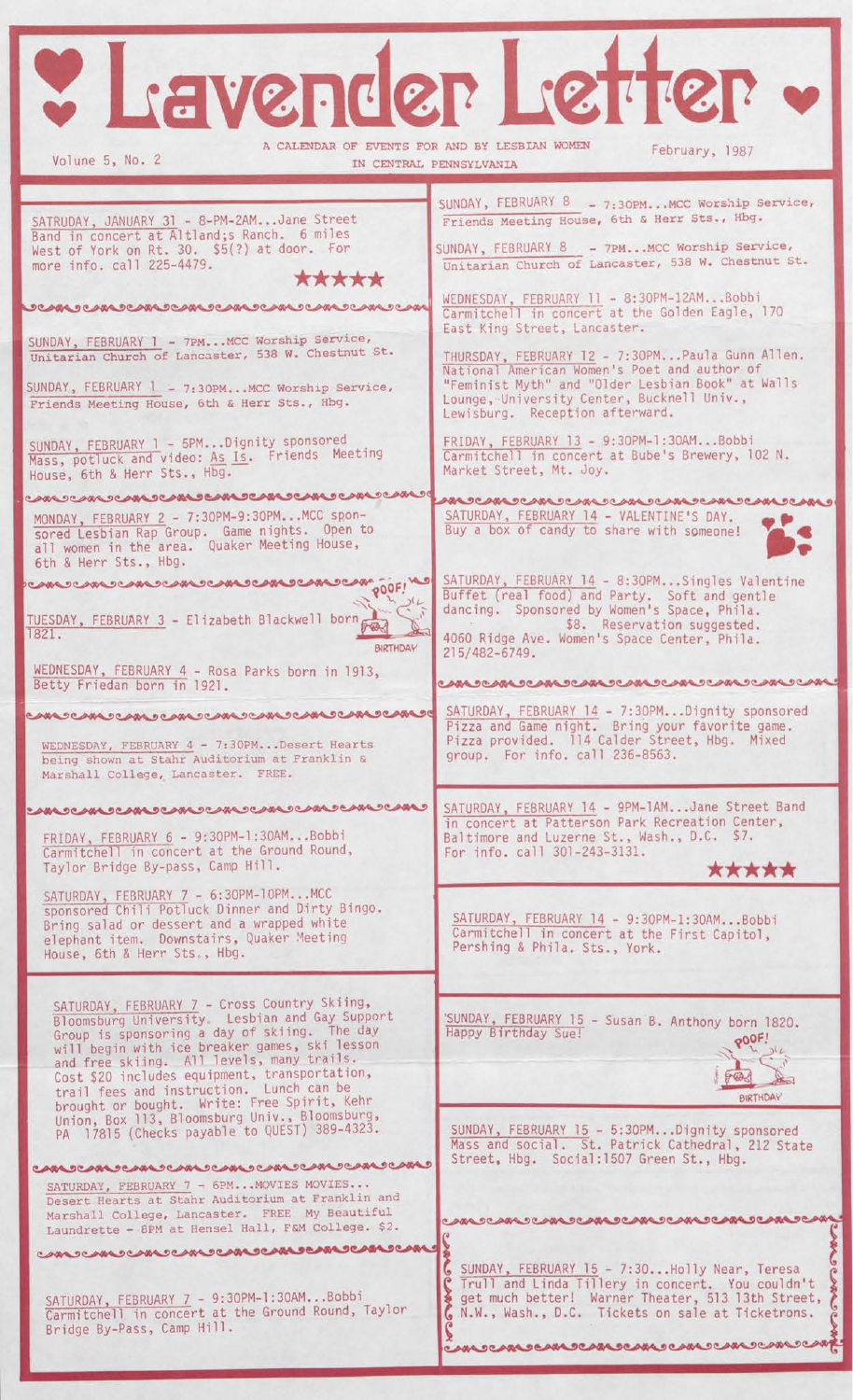| Y L'AVERder Letter                                                                                                                                                                                                                                                                                                                                                                       |                                                                                                                                                                                                                                                                                                       |
|------------------------------------------------------------------------------------------------------------------------------------------------------------------------------------------------------------------------------------------------------------------------------------------------------------------------------------------------------------------------------------------|-------------------------------------------------------------------------------------------------------------------------------------------------------------------------------------------------------------------------------------------------------------------------------------------------------|
| A CALENDAR OF EVENTS FOR AND BY LESBIAN WOMEN<br>February, 1987<br>Volune 5, No. 2<br>IN CENTRAL PENNSYLVANIA                                                                                                                                                                                                                                                                            |                                                                                                                                                                                                                                                                                                       |
| SATRUDAY, JANUARY 31 - 8-PM-2AMJane Street<br>Band in concert at Altland; s Ranch. 6 miles<br>West of York on Rt. 30. \$5(?) at door. For<br>more info. call 225-4479.<br>*****<br><b>DOMOCANDOMOCANDOANDOANDOANDOANDOAN</b>                                                                                                                                                             | SUNDAY, FEBRUARY 8 - 7:30PMMCC Worship Service,<br>Friends Meeting House, 6th & Herr Sts., Hbg.<br>SUNDAY, FEBRUARY 8 - 7PMMCC Worship Service,<br>Unitarian Church of Lancaster, 538 W. Chestnut St.<br>WEDNESDAY, FEBRUARY 11 - 8:30PM-12AMBobbi<br>Carmitchell in concert at the Golden Eagle, 170 |
| SUNDAY, FEBRUARY 1 - 7PMMCC Worship Service,<br>Unitarian Church of Lancaster, 538 W. Chestnut St.<br>SUNDAY, FEBRUARY 1 - 7:30PMMCC Worship Service,<br>Friends Meeting House, 6th & Herr Sts., Hbg.                                                                                                                                                                                    | East King Street, Lancaster.<br>THURSDAY, FEBRUARY 12 - 7:30PMPaula Gunn Allen.<br>National American Women's Poet and author of<br>"Feminist Myth" and "Older Lesbian Book" at Walls<br>Lounge, University Center, Bucknell Univ.,<br>Lewisburg. Reception afterward.                                 |
| SUNDAY, FEBRUARY 1 - 5PMDignity sponsored<br>Mass, potluck and video: As Is. Friends Meeting<br>House, 6th & Herr Sts., Hbg.<br>CAN COM COM COM CAN CAN COM COM COM CO                                                                                                                                                                                                                   | FRIDAY, FEBRUARY 13 - 9:30PM-1:30AMBobbi<br>Carmitchell in concert at Bube's Brewery, 102 N.<br>Market Street, Mt. Joy.                                                                                                                                                                               |
| MONDAY, FEBRUARY 2 - 7:30PM-9:30PMMCC spon-<br>sored Lesbian Rap Group. Game nights. Open to<br>all women in the area. Quaker Meeting House,<br>6th & Herr Sts., Hbg.                                                                                                                                                                                                                    | ๛๛ฃ๛๛ฃ๛๛ฃ๛๛ฃ๛๛๛๛๛๛๛๛๛๛๛๛๛<br>SATURDAY, FEBRUARY 14 - VALENTINE'S DAY.<br>Buy a box of candy to share with someone!                                                                                                                                                                                    |
| <b>CAN COMECAN COMECAN COM</b><br>OOOF!<br>TUESDAY, FEBRUARY 3 - Elizabeth Blackwell born<br>1821.<br><b>BIRTHDAY</b><br>WEDNESDAY, FEBRUARY 4 - Rosa Parks born in 1913,                                                                                                                                                                                                                | SATURDAY, FEBRUARY 14 - 8:30PMSingles Valentine<br>Buffet (real food) and Party. Soft and gentle<br>dancing. Sponsored by Women's Space, Phila.<br>\$8. Reservation suggested.<br>4060 Ridge Ave. Women's Space Center, Phila.<br>215/482-6749.<br>©™®™®™®™®™®™®™®™®™®™®™®™®™®™®                      |
| Betty Friedan born in 1921.<br>WEDNESDAY, FEBRUARY 4 - 7:30PMDesert Hearts<br>being shown at Stahr Auditorium at Franklin &<br>Marshall College, Lancaster. FREE.                                                                                                                                                                                                                        | SATURDAY, FEBRUARY 14 - 7:30PMDignity sponsored<br>Pizza and Game night. Bring your favorite game.<br>Pizza provided. 114 Calder Street, Hbg. Mixed<br>group. For info. call 236-8563.                                                                                                                |
| <b>CANDOANDOANDOANDOANDOANDOANDOAND</b><br>FRIDAY, FEBRUARY 6 - 9:30PM-1:30AMBobbi<br>Carmitchell in concert at the Ground Round,<br>Taylor Bridge By-pass, Camp Hill.                                                                                                                                                                                                                   | SATURDAY, FEBRUARY 14 - 9PM-1AMJane Street Band<br>in concert at Patterson Park Recreation Center,<br>Baltimore and Luzerne St., Wash., D.C. \$7.<br>For info. call 301-243-3131.<br>*****                                                                                                            |
| SATURDAY, FEBRUARY 7 - 6:30PM-10PMMCC<br>sponsored Chili Potluck Dinner and Dirty Bingo.<br>Bring salad or dessert and a wrapped white<br>elephant item. Downstairs, Quaker Meeting<br>House, 6th & Herr Sts., Hbg.                                                                                                                                                                      | SATURDAY, FEBRUARY 14 - 9:30PM-1:30AMBobbi<br>Carmitchell in concert at the First Capitol,<br>Pershing & Phila. Sts., York.                                                                                                                                                                           |
| SATURDAY, FEBRUARY 7 - Cross Country Skiing,<br>Bloomsburg University. Lesbian and Gay Support<br>Group is sponsoring a day of skiing. The day<br>will begin with ice breaker games, ski lesson<br>and free skiing. All levels, many trails.<br>Cost \$20 includes equipment, transportation,<br>trail fees and instruction. Lunch can be<br>brought or bought. Write: Free Spirit, Kehr | SUNDAY, FEBRUARY 15 - Susan B. Anthony born 1820.<br>Happy Birthday Sue!<br>OOOF!<br><b>BIRTHDAY</b>                                                                                                                                                                                                  |
| Union, Box 113, Bloomsburg Univ., Bloomsburg,<br>PA 17815 (Checks payable to QUEST) 389-4323.<br>CANDEAMOCANDEAMOCANDEAMOCANDEAMO<br>SATURDAY, FEBRUARY 7 - 6PMMOVIES MOVIES                                                                                                                                                                                                             | SUNDAY, FEBRUARY 15 - 5:30PMDignity sponsored<br>Mass and social. St. Patrick Cathedral, 212 State<br>Street, Hbg. Social:1507 Green St., Hbg.                                                                                                                                                        |
| Desert Hearts at Stahr Auditorium at Franklin and<br>Marshall College, Lancaster. FREE My Beautiful<br>Laundrette - 8PM at Hensel Hall, F&M College. \$2.                                                                                                                                                                                                                                | ABA DEABA DEABA DEABA DEABA DEABA DEABA DEAB                                                                                                                                                                                                                                                          |
| <b>UM JUM JUM JUM JUM JUM JUM JUM JUM J</b><br>SATURDAY, FEBRUARY 7 - 9:30PM-1:30AMBobbi<br>Carmitchell in concert at the Ground Round, Taylor<br>Bridge By-Pass, Camp Hill.                                                                                                                                                                                                             | SUNDAY, FEBRUARY 15 - 7:30Holly Near, Teresa<br>Trull and Linda Tillery in concert. You couldn't<br>get much better! Warner Theater, 513 13th Street,<br>N.W., Wash., D.C. Tickets on sale at Ticketrons.                                                                                             |